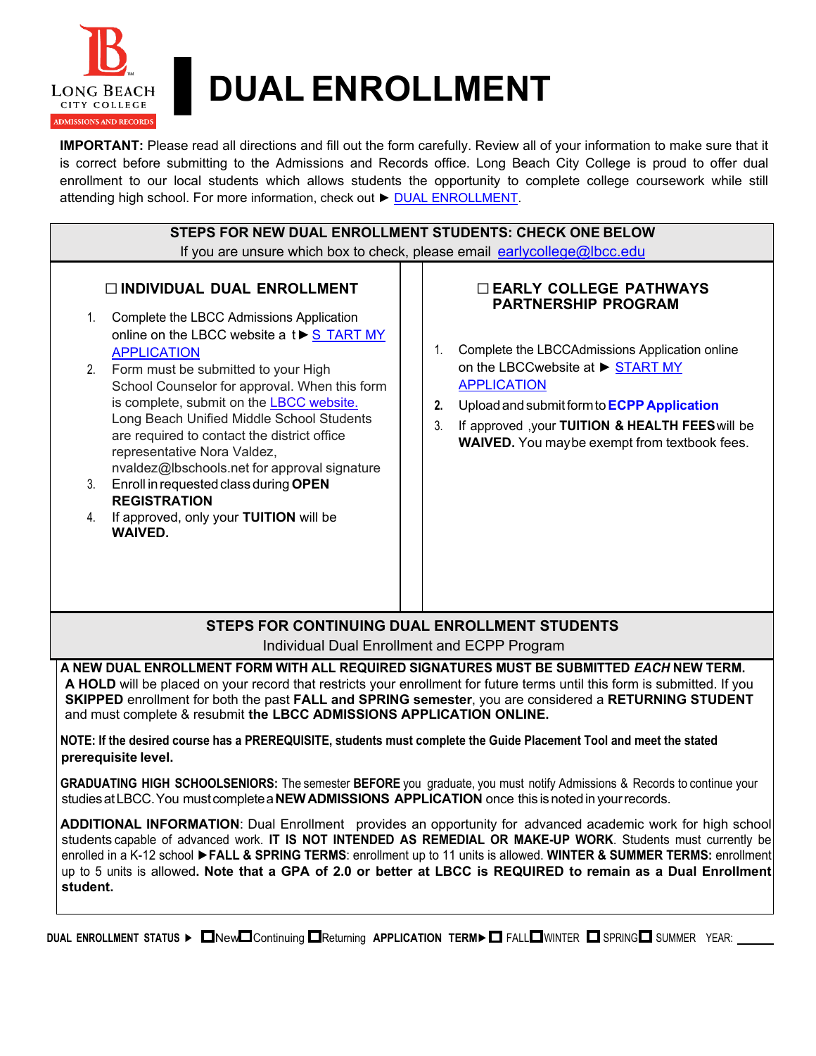

# ▌**DUAL ENROLLMENT**

**IMPORTANT:** Please read all directions and fill out the form carefully. Review all of your information to make sure that it is correct before submitting to the Admissions and Records office. Long Beach City College is proud to offer dual enrollment to our local students which allows students the opportunity to complete college coursework while still attending high school. For more information, check out ► DUAL ENROLLMENT.

| STEPS FOR NEW DUAL ENROLLMENT STUDENTS: CHECK ONE BELOW                                                                                                                                                                                                                                                                                                                                                                                                                                                                                                                                                            |                                                                                                                                                                                                                                                                                                                                                                                                                                                                         |  |  |  |
|--------------------------------------------------------------------------------------------------------------------------------------------------------------------------------------------------------------------------------------------------------------------------------------------------------------------------------------------------------------------------------------------------------------------------------------------------------------------------------------------------------------------------------------------------------------------------------------------------------------------|-------------------------------------------------------------------------------------------------------------------------------------------------------------------------------------------------------------------------------------------------------------------------------------------------------------------------------------------------------------------------------------------------------------------------------------------------------------------------|--|--|--|
| If you are unsure which box to check, please email earlycollege@lbcc.edu                                                                                                                                                                                                                                                                                                                                                                                                                                                                                                                                           |                                                                                                                                                                                                                                                                                                                                                                                                                                                                         |  |  |  |
| <b>NOIVIDUAL DUAL ENROLLMENT</b><br>Complete the LBCC Admissions Application<br>1.<br>online on the LBCC website a t▶ S TART MY<br><b>APPLICATION</b><br>Form must be submitted to your High<br>2.<br>School Counselor for approval. When this form<br>is complete, submit on the LBCC website.<br>Long Beach Unified Middle School Students<br>are required to contact the district office<br>representative Nora Valdez,<br>nvaldez@lbschools.net for approval signature<br>Enroll in requested class during OPEN<br>3.<br><b>REGISTRATION</b><br>If approved, only your TUITION will be<br>4.<br><b>WAIVED.</b> | <b>DEARLY COLLEGE PATHWAYS</b><br><b>PARTNERSHIP PROGRAM</b><br>Complete the LBCCAdmissions Application online<br>1.<br>on the LBCCwebsite at ▶ START MY<br><b>APPLICATION</b><br>Upload and submit form to <b>ECPP Application</b><br>2.<br>3.<br>If approved , your TUITION & HEALTH FEES will be<br><b>WAIVED.</b> You maybe exempt from textbook fees.                                                                                                              |  |  |  |
|                                                                                                                                                                                                                                                                                                                                                                                                                                                                                                                                                                                                                    | <b>STEPS FOR CONTINUING DUAL ENROLLMENT STUDENTS</b><br>Individual Dual Enrollment and ECPP Program                                                                                                                                                                                                                                                                                                                                                                     |  |  |  |
| A NEW DUAL ENROLLMENT FORM WITH ALL REQUIRED SIGNATURES MUST BE SUBMITTED <i>EACH</i> NEW TERM.<br>A HOLD will be placed on your record that restricts your enrollment for future terms until this form is submitted. If you<br>SKIPPED enrollment for both the past FALL and SPRING semester, you are considered a RETURNING STUDENT<br>and must complete & resubmit the LBCC ADMISSIONS APPLICATION ONLINE.<br>NOTE: If the desired course has a PREREQUISITE, students must complete the Guide Placement Tool and meet the stated<br>prerequisite level.                                                        |                                                                                                                                                                                                                                                                                                                                                                                                                                                                         |  |  |  |
| studies at LBCC. You must complete a NEW ADMISSIONS APPLICATION once this is noted in your records.                                                                                                                                                                                                                                                                                                                                                                                                                                                                                                                | GRADUATING HIGH SCHOOLSENIORS: The semester BEFORE you graduate, you must notify Admissions & Records to continue your                                                                                                                                                                                                                                                                                                                                                  |  |  |  |
| student.                                                                                                                                                                                                                                                                                                                                                                                                                                                                                                                                                                                                           | ADDITIONAL INFORMATION: Dual Enrollment provides an opportunity for advanced academic work for high school<br>students capable of advanced work. IT IS NOT INTENDED AS REMEDIAL OR MAKE-UP WORK. Students must currently be<br>enrolled in a K-12 school ▶FALL & SPRING TERMS: enrollment up to 11 units is allowed. WINTER & SUMMER TERMS: enrollment<br>up to 5 units is allowed. Note that a GPA of 2.0 or better at LBCC is REQUIRED to remain as a Dual Enrollment |  |  |  |
| DUAL ENROLLMENT STATUS $\triangleright$ $\square$ New $\square$ Continuing $\square$ Returning APPLICATION TERM $\triangleright$ FALL $\square$ WINTER $\square$ SPRING $\square$ SUMMER YEAR:                                                                                                                                                                                                                                                                                                                                                                                                                     |                                                                                                                                                                                                                                                                                                                                                                                                                                                                         |  |  |  |